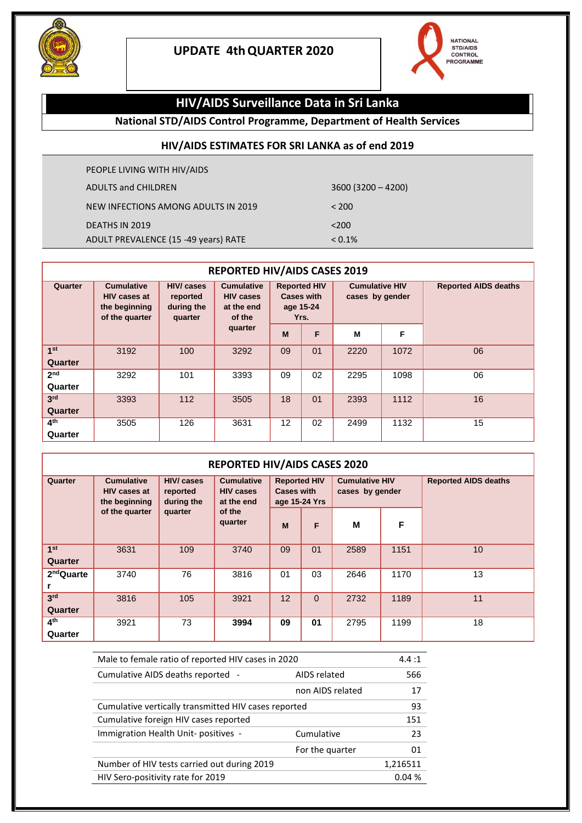



## **HIV/AIDS Surveillance Data in Sri Lanka**

## **National STD/AIDS Control Programme, Department of Health Services**

## **HIV/AIDS ESTIMATES FOR SRI LANKA as of end 2019**

| PEOPLE LIVING WITH HIV/AIDS          |                    |
|--------------------------------------|--------------------|
| <b>ADULTS and CHILDREN</b>           | 3600 (3200 - 4200) |
| NEW INFECTIONS AMONG ADULTS IN 2019  | < 200              |
| <b>DEATHS IN 2019</b>                | 3200               |
| ADULT PREVALENCE (15 -49 years) RATE | $< 0.1\%$          |

| <b>REPORTED HIV/AIDS CASES 2019</b> |                                                                             |                                                       |                                                               |    |                                                               |                                          |      |                             |  |
|-------------------------------------|-----------------------------------------------------------------------------|-------------------------------------------------------|---------------------------------------------------------------|----|---------------------------------------------------------------|------------------------------------------|------|-----------------------------|--|
| Quarter                             | <b>Cumulative</b><br><b>HIV cases at</b><br>the beginning<br>of the quarter | <b>HIV/cases</b><br>reported<br>during the<br>quarter | <b>Cumulative</b><br><b>HIV cases</b><br>at the end<br>of the |    | <b>Reported HIV</b><br><b>Cases with</b><br>age 15-24<br>Yrs. | <b>Cumulative HIV</b><br>cases by gender |      | <b>Reported AIDS deaths</b> |  |
|                                     |                                                                             |                                                       | quarter                                                       | M  | F                                                             | M                                        | F    |                             |  |
| 1 <sup>st</sup><br>Quarter          | 3192                                                                        | 100                                                   | 3292                                                          | 09 | 01                                                            | 2220                                     | 1072 | 06                          |  |
| 2 <sub>nd</sub><br>Quarter          | 3292                                                                        | 101                                                   | 3393                                                          | 09 | 02                                                            | 2295                                     | 1098 | 06                          |  |
| 3 <sup>rd</sup><br>Quarter          | 3393                                                                        | 112                                                   | 3505                                                          | 18 | 01                                                            | 2393                                     | 1112 | 16                          |  |
| 4 <sup>th</sup><br>Quarter          | 3505                                                                        | 126                                                   | 3631                                                          | 12 | 02                                                            | 2499                                     | 1132 | 15                          |  |

| <b>REPORTED HIV/AIDS CASES 2020</b> |                                                                             |                                                       |                                                                          |                                                           |          |                                          |      |                             |
|-------------------------------------|-----------------------------------------------------------------------------|-------------------------------------------------------|--------------------------------------------------------------------------|-----------------------------------------------------------|----------|------------------------------------------|------|-----------------------------|
| Quarter                             | <b>Cumulative</b><br><b>HIV cases at</b><br>the beginning<br>of the quarter | <b>HIV/cases</b><br>reported<br>during the<br>quarter | <b>Cumulative</b><br><b>HIV cases</b><br>at the end<br>of the<br>quarter | <b>Reported HIV</b><br><b>Cases with</b><br>age 15-24 Yrs |          | <b>Cumulative HIV</b><br>cases by gender |      | <b>Reported AIDS deaths</b> |
|                                     |                                                                             |                                                       |                                                                          | M                                                         | F        | м                                        | F    |                             |
| 1 <sup>st</sup><br>Quarter          | 3631                                                                        | 109                                                   | 3740                                                                     | 09                                                        | 01       | 2589                                     | 1151 | 10                          |
| $2nd$ Quarte                        | 3740                                                                        | 76                                                    | 3816                                                                     | 01                                                        | 03       | 2646                                     | 1170 | 13                          |
| 3 <sup>rd</sup><br>Quarter          | 3816                                                                        | 105                                                   | 3921                                                                     | 12                                                        | $\Omega$ | 2732                                     | 1189 | 11                          |
| 4 <sup>th</sup><br>Quarter          | 3921                                                                        | 73                                                    | 3994                                                                     | 09                                                        | 01       | 2795                                     | 1199 | 18                          |

| Male to female ratio of reported HIV cases in 2020   | 4.4:1            |          |
|------------------------------------------------------|------------------|----------|
| Cumulative AIDS deaths reported -                    | AIDS related     | 566      |
|                                                      | non AIDS related | 17       |
| Cumulative vertically transmitted HIV cases reported | 93               |          |
| Cumulative foreign HIV cases reported                |                  | 151      |
| Immigration Health Unit-positives -                  | Cumulative       | 23       |
|                                                      | For the quarter  | 01       |
| Number of HIV tests carried out during 2019          |                  | 1,216511 |
| HIV Sero-positivity rate for 2019                    |                  | 0.04%    |